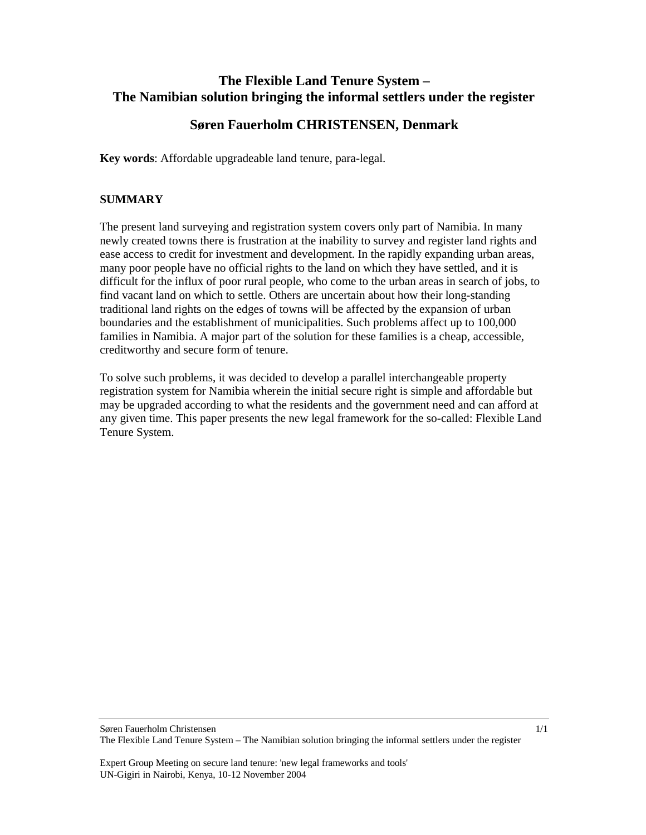# **The Flexible Land Tenure System – The Namibian solution bringing the informal settlers under the register**

# **Søren Fauerholm CHRISTENSEN, Denmark**

**Key words**: Affordable upgradeable land tenure, para-legal.

## **SUMMARY**

The present land surveying and registration system covers only part of Namibia. In many newly created towns there is frustration at the inability to survey and register land rights and ease access to credit for investment and development. In the rapidly expanding urban areas, many poor people have no official rights to the land on which they have settled, and it is difficult for the influx of poor rural people, who come to the urban areas in search of jobs, to find vacant land on which to settle. Others are uncertain about how their long-standing traditional land rights on the edges of towns will be affected by the expansion of urban boundaries and the establishment of municipalities. Such problems affect up to 100,000 families in Namibia. A major part of the solution for these families is a cheap, accessible, creditworthy and secure form of tenure.

To solve such problems, it was decided to develop a parallel interchangeable property registration system for Namibia wherein the initial secure right is simple and affordable but may be upgraded according to what the residents and the government need and can afford at any given time. This paper presents the new legal framework for the so-called: Flexible Land Tenure System.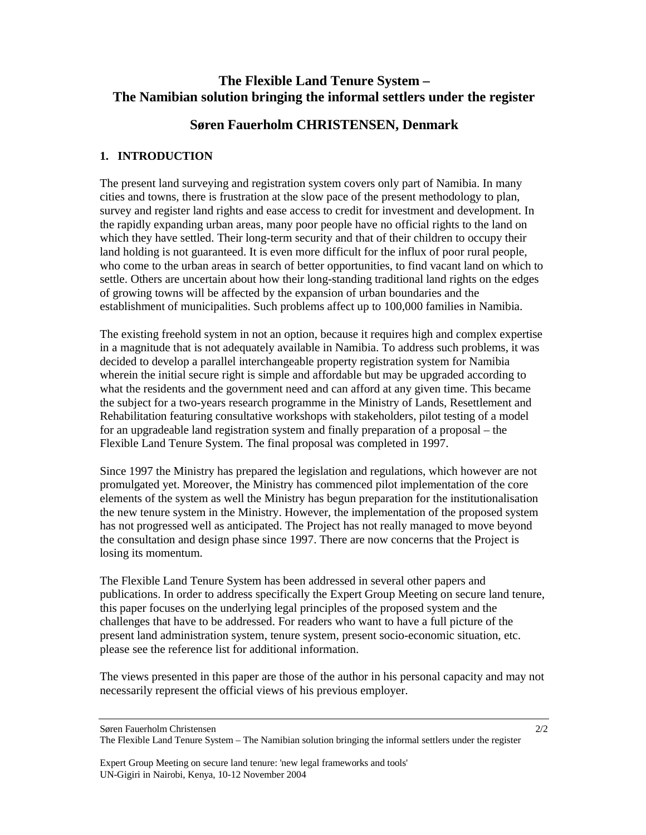# **The Flexible Land Tenure System – The Namibian solution bringing the informal settlers under the register**

# **Søren Fauerholm CHRISTENSEN, Denmark**

## **1. INTRODUCTION**

The present land surveying and registration system covers only part of Namibia. In many cities and towns, there is frustration at the slow pace of the present methodology to plan, survey and register land rights and ease access to credit for investment and development. In the rapidly expanding urban areas, many poor people have no official rights to the land on which they have settled. Their long-term security and that of their children to occupy their land holding is not guaranteed. It is even more difficult for the influx of poor rural people, who come to the urban areas in search of better opportunities, to find vacant land on which to settle. Others are uncertain about how their long-standing traditional land rights on the edges of growing towns will be affected by the expansion of urban boundaries and the establishment of municipalities. Such problems affect up to 100,000 families in Namibia.

The existing freehold system in not an option, because it requires high and complex expertise in a magnitude that is not adequately available in Namibia. To address such problems, it was decided to develop a parallel interchangeable property registration system for Namibia wherein the initial secure right is simple and affordable but may be upgraded according to what the residents and the government need and can afford at any given time. This became the subject for a two-years research programme in the Ministry of Lands, Resettlement and Rehabilitation featuring consultative workshops with stakeholders, pilot testing of a model for an upgradeable land registration system and finally preparation of a proposal – the Flexible Land Tenure System. The final proposal was completed in 1997.

Since 1997 the Ministry has prepared the legislation and regulations, which however are not promulgated yet. Moreover, the Ministry has commenced pilot implementation of the core elements of the system as well the Ministry has begun preparation for the institutionalisation the new tenure system in the Ministry. However, the implementation of the proposed system has not progressed well as anticipated. The Project has not really managed to move beyond the consultation and design phase since 1997. There are now concerns that the Project is losing its momentum.

The Flexible Land Tenure System has been addressed in several other papers and publications. In order to address specifically the Expert Group Meeting on secure land tenure, this paper focuses on the underlying legal principles of the proposed system and the challenges that have to be addressed. For readers who want to have a full picture of the present land administration system, tenure system, present socio-economic situation, etc. please see the reference list for additional information.

The views presented in this paper are those of the author in his personal capacity and may not necessarily represent the official views of his previous employer.

Søren Fauerholm Christensen

The Flexible Land Tenure System – The Namibian solution bringing the informal settlers under the register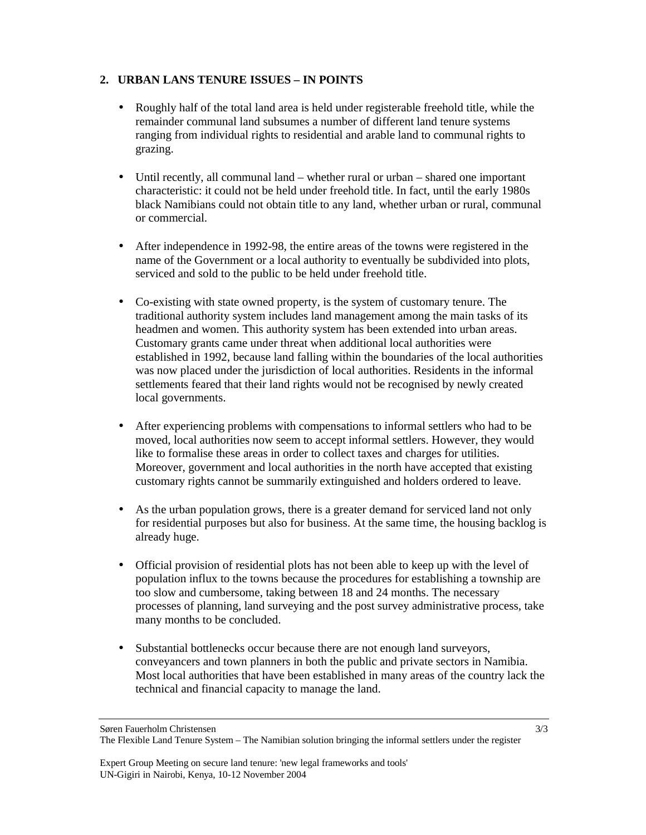## **2. URBAN LANS TENURE ISSUES – IN POINTS**

- Roughly half of the total land area is held under registerable freehold title, while the remainder communal land subsumes a number of different land tenure systems ranging from individual rights to residential and arable land to communal rights to grazing.
- Until recently, all communal land whether rural or urban shared one important characteristic: it could not be held under freehold title. In fact, until the early 1980s black Namibians could not obtain title to any land, whether urban or rural, communal or commercial.
- After independence in 1992-98, the entire areas of the towns were registered in the name of the Government or a local authority to eventually be subdivided into plots, serviced and sold to the public to be held under freehold title.
- Co-existing with state owned property, is the system of customary tenure. The traditional authority system includes land management among the main tasks of its headmen and women. This authority system has been extended into urban areas. Customary grants came under threat when additional local authorities were established in 1992, because land falling within the boundaries of the local authorities was now placed under the jurisdiction of local authorities. Residents in the informal settlements feared that their land rights would not be recognised by newly created local governments.
- After experiencing problems with compensations to informal settlers who had to be moved, local authorities now seem to accept informal settlers. However, they would like to formalise these areas in order to collect taxes and charges for utilities. Moreover, government and local authorities in the north have accepted that existing customary rights cannot be summarily extinguished and holders ordered to leave.
- As the urban population grows, there is a greater demand for serviced land not only for residential purposes but also for business. At the same time, the housing backlog is already huge.
- Official provision of residential plots has not been able to keep up with the level of population influx to the towns because the procedures for establishing a township are too slow and cumbersome, taking between 18 and 24 months. The necessary processes of planning, land surveying and the post survey administrative process, take many months to be concluded.
- Substantial bottlenecks occur because there are not enough land surveyors, conveyancers and town planners in both the public and private sectors in Namibia. Most local authorities that have been established in many areas of the country lack the technical and financial capacity to manage the land.

Søren Fauerholm Christensen

The Flexible Land Tenure System – The Namibian solution bringing the informal settlers under the register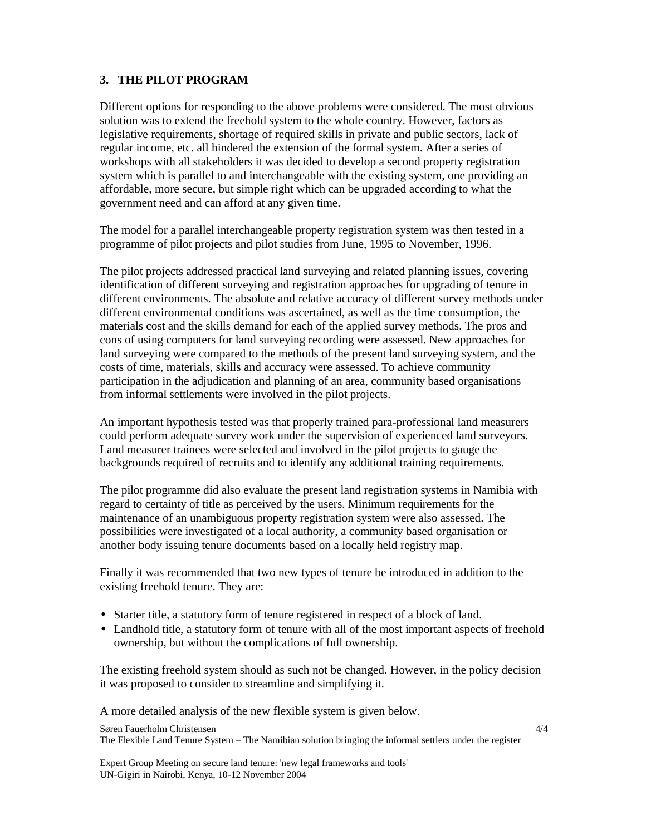#### **3. THE PILOT PROGRAM**

Different options for responding to the above problems were considered. The most obvious solution was to extend the freehold system to the whole country. However, factors as legislative requirements, shortage of required skills in private and public sectors, lack of regular income, etc. all hindered the extension of the formal system. After a series of workshops with all stakeholders it was decided to develop a second property registration system which is parallel to and interchangeable with the existing system, one providing an affordable, more secure, but simple right which can be upgraded according to what the government need and can afford at any given time.

The model for a parallel interchangeable property registration system was then tested in a programme of pilot projects and pilot studies from June, 1995 to November, 1996.

The pilot projects addressed practical land surveying and related planning issues, covering identification of different surveying and registration approaches for upgrading of tenure in different environments. The absolute and relative accuracy of different survey methods under different environmental conditions was ascertained, as well as the time consumption, the materials cost and the skills demand for each of the applied survey methods. The pros and cons of using computers for land surveying recording were assessed. New approaches for land surveying were compared to the methods of the present land surveying system, and the costs of time, materials, skills and accuracy were assessed. To achieve community participation in the adjudication and planning of an area, community based organisations from informal settlements were involved in the pilot projects.

An important hypothesis tested was that properly trained para-professional land measurers could perform adequate survey work under the supervision of experienced land surveyors. Land measurer trainees were selected and involved in the pilot projects to gauge the backgrounds required of recruits and to identify any additional training requirements.

The pilot programme did also evaluate the present land registration systems in Namibia with regard to certainty of title as perceived by the users. Minimum requirements for the maintenance of an unambiguous property registration system were also assessed. The possibilities were investigated of a local authority, a community based organisation or another body issuing tenure documents based on a locally held registry map.

Finally it was recommended that two new types of tenure be introduced in addition to the existing freehold tenure. They are:

- Starter title, a statutory form of tenure registered in respect of a block of land.
- Landhold title, a statutory form of tenure with all of the most important aspects of freehold ownership, but without the complications of full ownership.

The existing freehold system should as such not be changed. However, in the policy decision it was proposed to consider to streamline and simplifying it.

A more detailed analysis of the new flexible system is given below.

Søren Fauerholm Christensen The Flexible Land Tenure System – The Namibian solution bringing the informal settlers under the register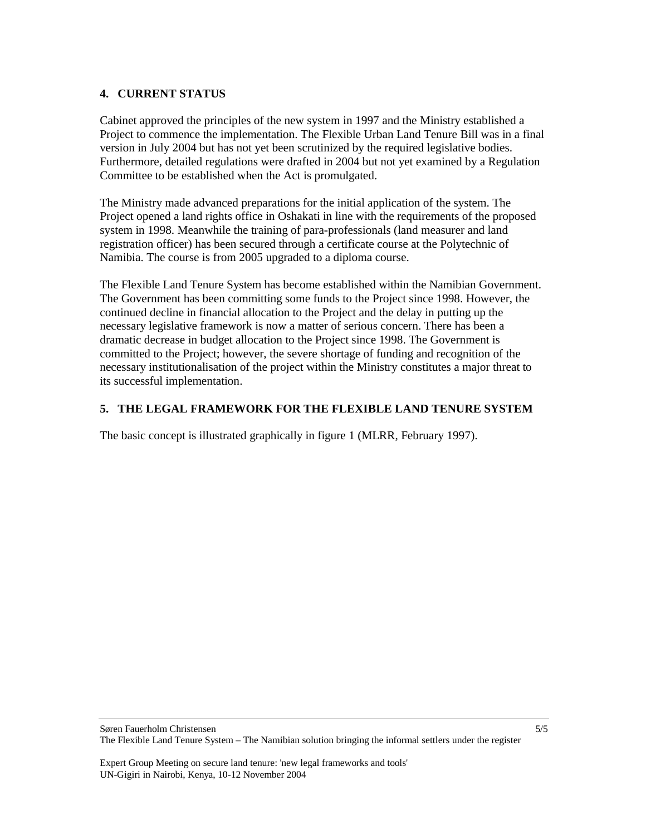### **4. CURRENT STATUS**

Cabinet approved the principles of the new system in 1997 and the Ministry established a Project to commence the implementation. The Flexible Urban Land Tenure Bill was in a final version in July 2004 but has not yet been scrutinized by the required legislative bodies. Furthermore, detailed regulations were drafted in 2004 but not yet examined by a Regulation Committee to be established when the Act is promulgated.

The Ministry made advanced preparations for the initial application of the system. The Project opened a land rights office in Oshakati in line with the requirements of the proposed system in 1998. Meanwhile the training of para-professionals (land measurer and land registration officer) has been secured through a certificate course at the Polytechnic of Namibia. The course is from 2005 upgraded to a diploma course.

The Flexible Land Tenure System has become established within the Namibian Government. The Government has been committing some funds to the Project since 1998. However, the continued decline in financial allocation to the Project and the delay in putting up the necessary legislative framework is now a matter of serious concern. There has been a dramatic decrease in budget allocation to the Project since 1998. The Government is committed to the Project; however, the severe shortage of funding and recognition of the necessary institutionalisation of the project within the Ministry constitutes a major threat to its successful implementation.

## **5. THE LEGAL FRAMEWORK FOR THE FLEXIBLE LAND TENURE SYSTEM**

The basic concept is illustrated graphically in figure 1 (MLRR, February 1997).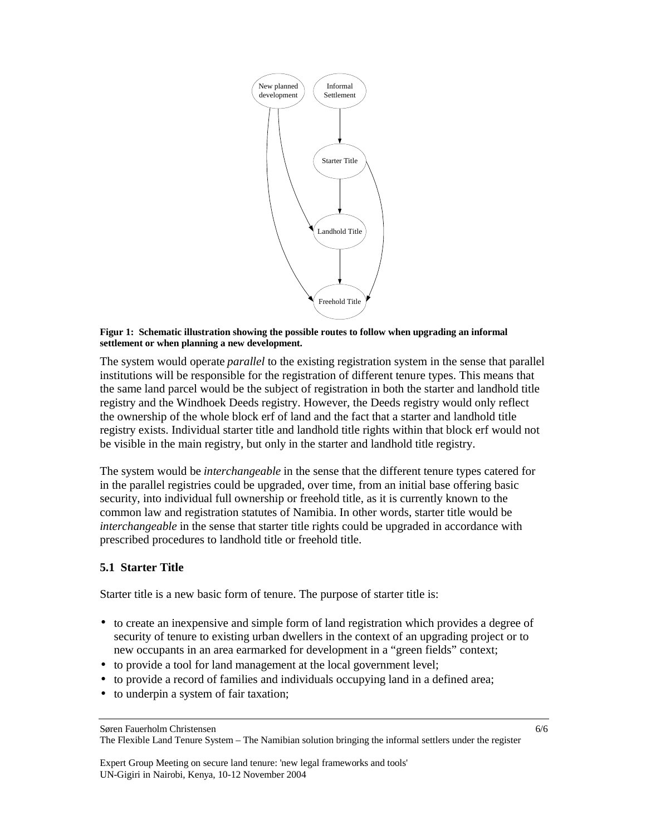

#### **Figur 1: Schematic illustration showing the possible routes to follow when upgrading an informal settlement or when planning a new development.**

The system would operate *parallel* to the existing registration system in the sense that parallel institutions will be responsible for the registration of different tenure types. This means that the same land parcel would be the subject of registration in both the starter and landhold title registry and the Windhoek Deeds registry. However, the Deeds registry would only reflect the ownership of the whole block erf of land and the fact that a starter and landhold title registry exists. Individual starter title and landhold title rights within that block erf would not be visible in the main registry, but only in the starter and landhold title registry.

The system would be *interchangeable* in the sense that the different tenure types catered for in the parallel registries could be upgraded, over time, from an initial base offering basic security, into individual full ownership or freehold title, as it is currently known to the common law and registration statutes of Namibia. In other words, starter title would be *interchangeable* in the sense that starter title rights could be upgraded in accordance with prescribed procedures to landhold title or freehold title.

## **5.1 Starter Title**

Starter title is a new basic form of tenure. The purpose of starter title is:

- to create an inexpensive and simple form of land registration which provides a degree of security of tenure to existing urban dwellers in the context of an upgrading project or to new occupants in an area earmarked for development in a "green fields" context;
- to provide a tool for land management at the local government level;
- to provide a record of families and individuals occupying land in a defined area;
- to underpin a system of fair taxation;

Søren Fauerholm Christensen

The Flexible Land Tenure System – The Namibian solution bringing the informal settlers under the register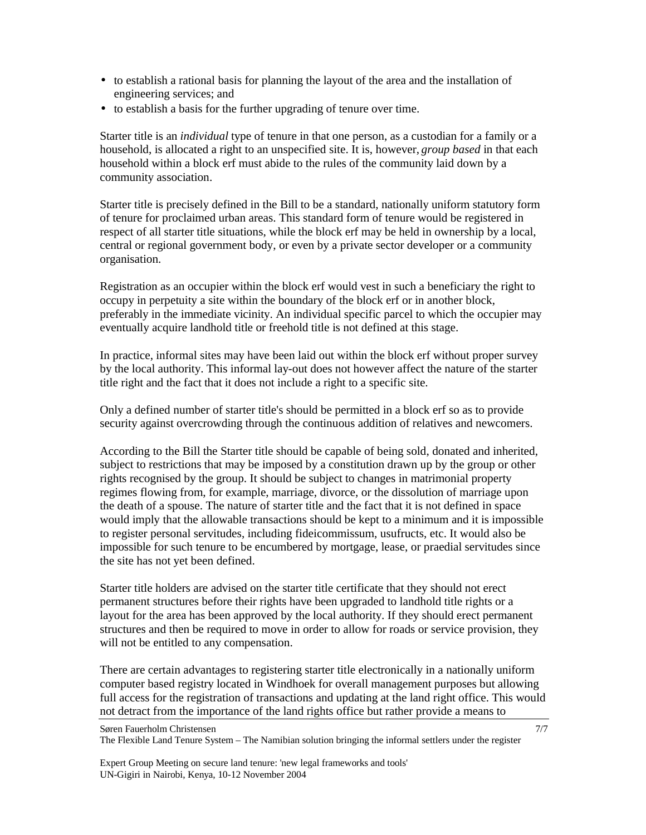- to establish a rational basis for planning the layout of the area and the installation of engineering services; and
- to establish a basis for the further upgrading of tenure over time.

Starter title is an *individual* type of tenure in that one person, as a custodian for a family or a household, is allocated a right to an unspecified site. It is, however, *group based* in that each household within a block erf must abide to the rules of the community laid down by a community association.

Starter title is precisely defined in the Bill to be a standard, nationally uniform statutory form of tenure for proclaimed urban areas. This standard form of tenure would be registered in respect of all starter title situations, while the block erf may be held in ownership by a local, central or regional government body, or even by a private sector developer or a community organisation.

Registration as an occupier within the block erf would vest in such a beneficiary the right to occupy in perpetuity a site within the boundary of the block erf or in another block, preferably in the immediate vicinity. An individual specific parcel to which the occupier may eventually acquire landhold title or freehold title is not defined at this stage.

In practice, informal sites may have been laid out within the block erf without proper survey by the local authority. This informal lay-out does not however affect the nature of the starter title right and the fact that it does not include a right to a specific site.

Only a defined number of starter title's should be permitted in a block erf so as to provide security against overcrowding through the continuous addition of relatives and newcomers.

According to the Bill the Starter title should be capable of being sold, donated and inherited, subject to restrictions that may be imposed by a constitution drawn up by the group or other rights recognised by the group. It should be subject to changes in matrimonial property regimes flowing from, for example, marriage, divorce, or the dissolution of marriage upon the death of a spouse. The nature of starter title and the fact that it is not defined in space would imply that the allowable transactions should be kept to a minimum and it is impossible to register personal servitudes, including fideicommissum, usufructs, etc. It would also be impossible for such tenure to be encumbered by mortgage, lease, or praedial servitudes since the site has not yet been defined.

Starter title holders are advised on the starter title certificate that they should not erect permanent structures before their rights have been upgraded to landhold title rights or a layout for the area has been approved by the local authority. If they should erect permanent structures and then be required to move in order to allow for roads or service provision, they will not be entitled to any compensation.

There are certain advantages to registering starter title electronically in a nationally uniform computer based registry located in Windhoek for overall management purposes but allowing full access for the registration of transactions and updating at the land right office. This would not detract from the importance of the land rights office but rather provide a means to

Søren Fauerholm Christensen

The Flexible Land Tenure System – The Namibian solution bringing the informal settlers under the register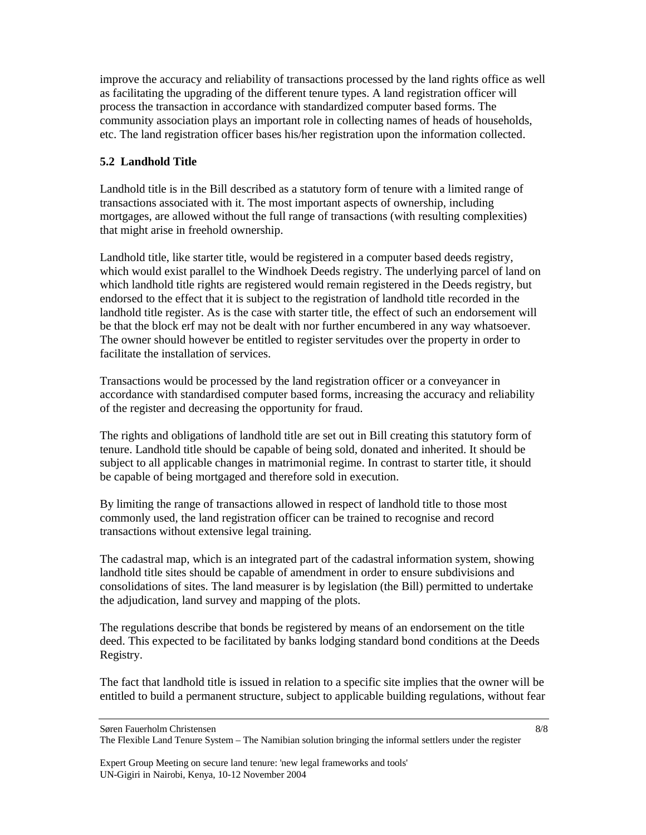improve the accuracy and reliability of transactions processed by the land rights office as well as facilitating the upgrading of the different tenure types. A land registration officer will process the transaction in accordance with standardized computer based forms. The community association plays an important role in collecting names of heads of households, etc. The land registration officer bases his/her registration upon the information collected.

## **5.2 Landhold Title**

Landhold title is in the Bill described as a statutory form of tenure with a limited range of transactions associated with it. The most important aspects of ownership, including mortgages, are allowed without the full range of transactions (with resulting complexities) that might arise in freehold ownership.

Landhold title, like starter title, would be registered in a computer based deeds registry, which would exist parallel to the Windhoek Deeds registry. The underlying parcel of land on which landhold title rights are registered would remain registered in the Deeds registry, but endorsed to the effect that it is subject to the registration of landhold title recorded in the landhold title register. As is the case with starter title, the effect of such an endorsement will be that the block erf may not be dealt with nor further encumbered in any way whatsoever. The owner should however be entitled to register servitudes over the property in order to facilitate the installation of services.

Transactions would be processed by the land registration officer or a conveyancer in accordance with standardised computer based forms, increasing the accuracy and reliability of the register and decreasing the opportunity for fraud.

The rights and obligations of landhold title are set out in Bill creating this statutory form of tenure. Landhold title should be capable of being sold, donated and inherited. It should be subject to all applicable changes in matrimonial regime. In contrast to starter title, it should be capable of being mortgaged and therefore sold in execution.

By limiting the range of transactions allowed in respect of landhold title to those most commonly used, the land registration officer can be trained to recognise and record transactions without extensive legal training.

The cadastral map, which is an integrated part of the cadastral information system, showing landhold title sites should be capable of amendment in order to ensure subdivisions and consolidations of sites. The land measurer is by legislation (the Bill) permitted to undertake the adjudication, land survey and mapping of the plots.

The regulations describe that bonds be registered by means of an endorsement on the title deed. This expected to be facilitated by banks lodging standard bond conditions at the Deeds Registry.

The fact that landhold title is issued in relation to a specific site implies that the owner will be entitled to build a permanent structure, subject to applicable building regulations, without fear

Søren Fauerholm Christensen

The Flexible Land Tenure System – The Namibian solution bringing the informal settlers under the register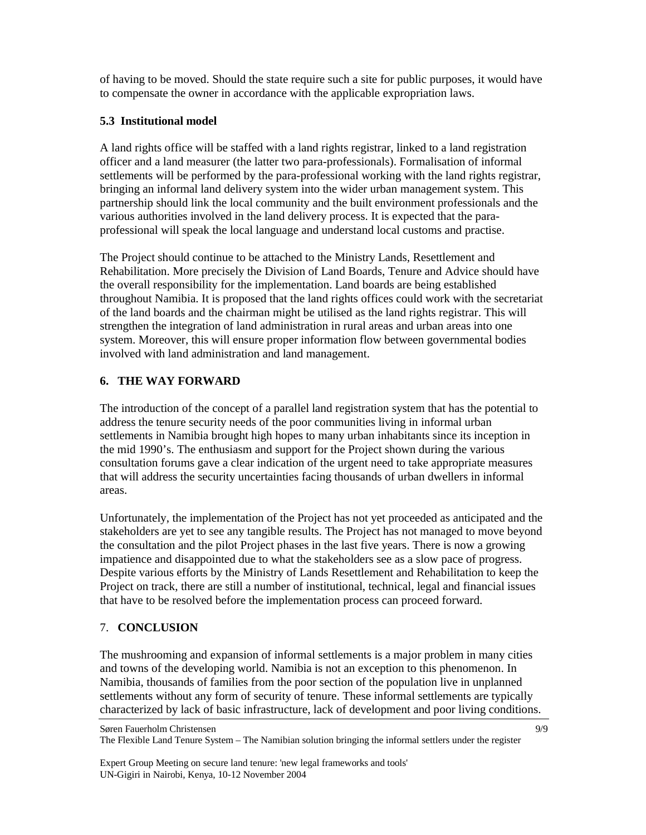of having to be moved. Should the state require such a site for public purposes, it would have to compensate the owner in accordance with the applicable expropriation laws.

#### **5.3 Institutional model**

A land rights office will be staffed with a land rights registrar, linked to a land registration officer and a land measurer (the latter two para-professionals). Formalisation of informal settlements will be performed by the para-professional working with the land rights registrar, bringing an informal land delivery system into the wider urban management system. This partnership should link the local community and the built environment professionals and the various authorities involved in the land delivery process. It is expected that the paraprofessional will speak the local language and understand local customs and practise.

The Project should continue to be attached to the Ministry Lands, Resettlement and Rehabilitation. More precisely the Division of Land Boards, Tenure and Advice should have the overall responsibility for the implementation. Land boards are being established throughout Namibia. It is proposed that the land rights offices could work with the secretariat of the land boards and the chairman might be utilised as the land rights registrar. This will strengthen the integration of land administration in rural areas and urban areas into one system. Moreover, this will ensure proper information flow between governmental bodies involved with land administration and land management.

## **6. THE WAY FORWARD**

The introduction of the concept of a parallel land registration system that has the potential to address the tenure security needs of the poor communities living in informal urban settlements in Namibia brought high hopes to many urban inhabitants since its inception in the mid 1990's. The enthusiasm and support for the Project shown during the various consultation forums gave a clear indication of the urgent need to take appropriate measures that will address the security uncertainties facing thousands of urban dwellers in informal areas.

Unfortunately, the implementation of the Project has not yet proceeded as anticipated and the stakeholders are yet to see any tangible results. The Project has not managed to move beyond the consultation and the pilot Project phases in the last five years. There is now a growing impatience and disappointed due to what the stakeholders see as a slow pace of progress. Despite various efforts by the Ministry of Lands Resettlement and Rehabilitation to keep the Project on track, there are still a number of institutional, technical, legal and financial issues that have to be resolved before the implementation process can proceed forward.

## 7. **CONCLUSION**

The mushrooming and expansion of informal settlements is a major problem in many cities and towns of the developing world. Namibia is not an exception to this phenomenon. In Namibia, thousands of families from the poor section of the population live in unplanned settlements without any form of security of tenure. These informal settlements are typically characterized by lack of basic infrastructure, lack of development and poor living conditions.

Søren Fauerholm Christensen The Flexible Land Tenure System – The Namibian solution bringing the informal settlers under the register